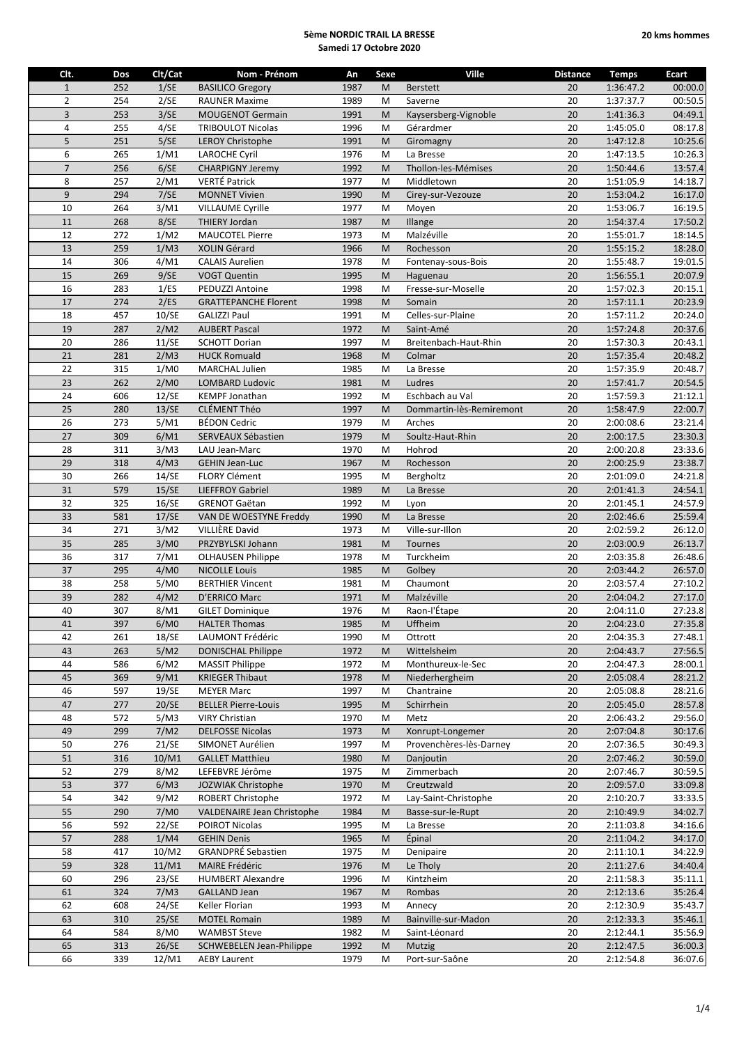| Clt.           | Dos | Clt/Cat | Nom - Prénom                    | An   | Sexe    | Ville                    | <b>Distance</b> | <b>Temps</b> | Ecart   |
|----------------|-----|---------|---------------------------------|------|---------|--------------------------|-----------------|--------------|---------|
| $1\,$          | 252 | 1/SE    | <b>BASILICO Gregory</b>         | 1987 | M       | <b>Berstett</b>          | 20              | 1:36:47.2    | 00:00.0 |
| $\overline{2}$ | 254 | 2/SE    | <b>RAUNER Maxime</b>            | 1989 | M       | Saverne                  | 20              | 1:37:37.7    | 00:50.5 |
| 3              | 253 | 3/SE    | <b>MOUGENOT Germain</b>         | 1991 | M       | Kaysersberg-Vignoble     | 20              | 1:41:36.3    | 04:49.1 |
| 4              | 255 | 4/SE    | <b>TRIBOULOT Nicolas</b>        | 1996 | M       | Gérardmer                | 20              | 1:45:05.0    | 08:17.8 |
| 5              | 251 | 5/SE    | <b>LEROY Christophe</b>         | 1991 | M       | Giromagny                | 20              | 1:47:12.8    | 10:25.6 |
| 6              | 265 | 1/M1    | <b>LAROCHE Cyril</b>            | 1976 | M       | La Bresse                | 20              | 1:47:13.5    | 10:26.3 |
| $\overline{7}$ | 256 | 6/SE    | <b>CHARPIGNY Jeremy</b>         | 1992 | M       | Thollon-les-Mémises      | 20              | 1:50:44.6    | 13:57.4 |
| 8              | 257 | 2/M1    | VERTÉ Patrick                   | 1977 | M       | Middletown               | 20              | 1:51:05.9    | 14:18.7 |
| $\overline{9}$ | 294 | 7/SE    | <b>MONNET Vivien</b>            | 1990 | M       | Cirey-sur-Vezouze        | 20              | 1:53:04.2    | 16:17.0 |
| 10             | 264 | 3/M1    | <b>VILLAUME Cyrille</b>         | 1977 | M       | Moyen                    | 20              | 1:53:06.7    | 16:19.5 |
| 11             | 268 | 8/SE    | <b>THIERY Jordan</b>            | 1987 | M       | Illange                  | 20              | 1:54:37.4    | 17:50.2 |
| 12             | 272 | 1/M2    | <b>MAUCOTEL Pierre</b>          | 1973 | M       | Malzéville               | 20              | 1:55:01.7    | 18:14.5 |
| 13             | 259 | 1/M3    | XOLIN Gérard                    | 1966 | M       | Rochesson                | 20              | 1:55:15.2    | 18:28.0 |
| 14             | 306 | 4/M1    | <b>CALAIS Aurelien</b>          | 1978 | M       | Fontenay-sous-Bois       | 20              | 1:55:48.7    | 19:01.5 |
| 15             | 269 | 9/SE    | <b>VOGT Quentin</b>             | 1995 | M       | Haguenau                 | 20              | 1:56:55.1    | 20:07.9 |
| 16             | 283 | 1/ES    | PEDUZZI Antoine                 | 1998 | M       | Fresse-sur-Moselle       | 20              | 1:57:02.3    | 20:15.1 |
| 17             | 274 | 2/ES    | <b>GRATTEPANCHE Florent</b>     | 1998 | M       | Somain                   | 20              | 1:57:11.1    | 20:23.9 |
| 18             | 457 | 10/SE   | <b>GALIZZI Paul</b>             | 1991 | M       | Celles-sur-Plaine        | 20              | 1:57:11.2    | 20:24.0 |
| 19             | 287 | 2/M2    | <b>AUBERT Pascal</b>            | 1972 | M       | Saint-Amé                | 20              | 1:57:24.8    | 20:37.6 |
| 20             | 286 | 11/SE   | <b>SCHOTT Dorian</b>            | 1997 | M       | Breitenbach-Haut-Rhin    | 20              | 1:57:30.3    | 20:43.1 |
| 21             | 281 | 2/M3    | <b>HUCK Romuald</b>             | 1968 | M       | Colmar                   | 20              | 1:57:35.4    | 20:48.2 |
| 22             | 315 | 1/M0    | <b>MARCHAL Julien</b>           | 1985 | M       | La Bresse                | 20              | 1:57:35.9    | 20:48.7 |
| 23             | 262 | 2/M0    | <b>LOMBARD Ludovic</b>          | 1981 | M       | Ludres                   | 20              | 1:57:41.7    | 20:54.5 |
| 24             | 606 | 12/SE   | <b>KEMPF Jonathan</b>           | 1992 | M       | Eschbach au Val          | 20              | 1:57:59.3    | 21:12.1 |
| 25             | 280 | 13/SE   | CLÉMENT Théo                    | 1997 | M       | Dommartin-lès-Remiremont | 20              | 1:58:47.9    | 22:00.7 |
| 26             | 273 | 5/M1    | <b>BÉDON Cedric</b>             | 1979 | M       | Arches                   | 20              | 2:00:08.6    | 23:21.4 |
| 27             | 309 | 6/M1    | SERVEAUX Sébastien              | 1979 | M       | Soultz-Haut-Rhin         | 20              | 2:00:17.5    | 23:30.3 |
| 28             | 311 | 3/M3    | LAU Jean-Marc                   | 1970 | M       | Hohrod                   | 20              | 2:00:20.8    | 23:33.6 |
| 29             | 318 | 4/M3    | <b>GEHIN Jean-Luc</b>           | 1967 | M       | Rochesson                | 20              | 2:00:25.9    | 23:38.7 |
| 30             | 266 | 14/SE   | <b>FLORY Clément</b>            | 1995 | M       | Bergholtz                | 20              | 2:01:09.0    | 24:21.8 |
| 31             | 579 | 15/SE   | <b>LIEFFROY Gabriel</b>         | 1989 | M       | La Bresse                | 20              | 2:01:41.3    | 24:54.1 |
| 32             | 325 | 16/SE   | <b>GRENOT Gaëtan</b>            | 1992 | M       | Lyon                     | 20              | 2:01:45.1    | 24:57.9 |
| 33             | 581 | 17/SE   | VAN DE WOESTYNE Freddy          | 1990 | M       | La Bresse                | 20              | 2:02:46.6    | 25:59.4 |
| 34             | 271 | 3/M2    | VILLIÈRE David                  | 1973 | M       | Ville-sur-Illon          | 20              | 2:02:59.2    | 26:12.0 |
| 35             | 285 | 3/M0    | PRZYBYLSKI Johann               | 1981 | M       | Tournes                  | 20              | 2:03:00.9    | 26:13.7 |
| 36             | 317 | 7/M1    | <b>OLHAUSEN Philippe</b>        | 1978 | M       | Turckheim                | 20              | 2:03:35.8    | 26:48.6 |
| 37             | 295 | 4/M0    | <b>NICOLLE Louis</b>            | 1985 | M       | Golbey                   | 20              | 2:03:44.2    | 26:57.0 |
| 38             | 258 | 5/M0    | <b>BERTHIER Vincent</b>         | 1981 | M       | Chaumont                 | 20              | 2:03:57.4    | 27:10.2 |
| 39             | 282 | 4/M2    | D'ERRICO Marc                   | 1971 | M       | Malzéville               | 20              | 2:04:04.2    | 27:17.0 |
| 40             | 307 | 8/M1    | <b>GILET Dominique</b>          | 1976 | M       | Raon-l'Étape             | 20              | 2:04:11.0    | 27:23.8 |
| $41\,$         | 397 | 6/M0    | <b>HALTER Thomas</b>            | 1985 | $\sf M$ | Uffheim                  | 20 <sub>2</sub> | 2:04:23.0    | 27:35.8 |
| 42             | 261 | 18/SE   | LAUMONT Frédéric                | 1990 | M       | Ottrott                  | 20              | 2:04:35.3    | 27:48.1 |
| 43             | 263 | 5/M2    | <b>DONISCHAL Philippe</b>       | 1972 | M       | Wittelsheim              | 20              | 2:04:43.7    | 27:56.5 |
| 44             | 586 | 6/M2    | <b>MASSIT Philippe</b>          | 1972 | M       | Monthureux-le-Sec        | 20              | 2:04:47.3    | 28:00.1 |
| 45             | 369 | 9/M1    | <b>KRIEGER Thibaut</b>          | 1978 | M       | Niederhergheim           | 20              | 2:05:08.4    | 28:21.2 |
| 46             | 597 | 19/SE   | <b>MEYER Marc</b>               | 1997 | M       | Chantraine               | 20              | 2:05:08.8    | 28:21.6 |
| 47             | 277 | 20/SE   | <b>BELLER Pierre-Louis</b>      | 1995 | M       | Schirrhein               | 20              | 2:05:45.0    | 28:57.8 |
| 48             | 572 | 5/M3    | <b>VIRY Christian</b>           | 1970 | M       | Metz                     | 20              | 2:06:43.2    | 29:56.0 |
| 49             | 299 | 7/M2    | <b>DELFOSSE Nicolas</b>         | 1973 | M       | Xonrupt-Longemer         | 20              | 2:07:04.8    | 30:17.6 |
| 50             | 276 | 21/SE   | SIMONET Aurélien                | 1997 | M       | Provenchères-lès-Darney  | 20              | 2:07:36.5    | 30:49.3 |
| 51             | 316 | 10/M1   | <b>GALLET Matthieu</b>          | 1980 | M       | Danjoutin                | 20              | 2:07:46.2    | 30:59.0 |
| 52             | 279 | 8/M2    | LEFEBVRE Jérôme                 | 1975 | M       | Zimmerbach               | 20              | 2:07:46.7    | 30:59.5 |
| 53             | 377 | 6/M3    | JOZWIAK Christophe              | 1970 | M       | Creutzwald               | 20              | 2:09:57.0    | 33:09.8 |
| 54             | 342 | 9/M2    | ROBERT Christophe               | 1972 | M       | Lay-Saint-Christophe     | 20              | 2:10:20.7    | 33:33.5 |
| 55             | 290 | 7/M0    | VALDENAIRE Jean Christophe      | 1984 | M       | Basse-sur-le-Rupt        | 20              | 2:10:49.9    | 34:02.7 |
| 56             | 592 | 22/SE   | POIROT Nicolas                  | 1995 | M       | La Bresse                | 20              | 2:11:03.8    | 34:16.6 |
| 57             | 288 | 1/M4    | <b>GEHIN Denis</b>              | 1965 | M       | Épinal                   | 20              | 2:11:04.2    | 34:17.0 |
| 58             | 417 | 10/M2   | <b>GRANDPRÉ Sebastien</b>       | 1975 | M       | Denipaire                | 20              | 2:11:10.1    | 34:22.9 |
| 59             | 328 | 11/M1   | MAIRE Frédéric                  | 1976 | M       | Le Tholy                 | 20              | 2:11:27.6    | 34:40.4 |
| 60             | 296 | 23/SE   | <b>HUMBERT Alexandre</b>        | 1996 | M       | Kintzheim                | 20              | 2:11:58.3    | 35:11.1 |
| 61             | 324 | 7/M3    | <b>GALLAND Jean</b>             | 1967 | M       | Rombas                   | 20              | 2:12:13.6    | 35:26.4 |
| 62             | 608 | 24/SE   | Keller Florian                  | 1993 | M       | Annecy                   | 20              | 2:12:30.9    | 35:43.7 |
| 63             | 310 | 25/SE   | <b>MOTEL Romain</b>             | 1989 | M       | Bainville-sur-Madon      | 20              | 2:12:33.3    | 35:46.1 |
| 64             | 584 | 8/M0    | <b>WAMBST Steve</b>             | 1982 | M       | Saint-Léonard            | 20              | 2:12:44.1    | 35:56.9 |
| 65             | 313 | 26/SE   | <b>SCHWEBELEN Jean-Philippe</b> | 1992 | M       | Mutzig                   | 20              | 2:12:47.5    | 36:00.3 |
| 66             | 339 | 12/M1   | <b>AEBY Laurent</b>             | 1979 | М       | Port-sur-Saône           | 20              | 2:12:54.8    | 36:07.6 |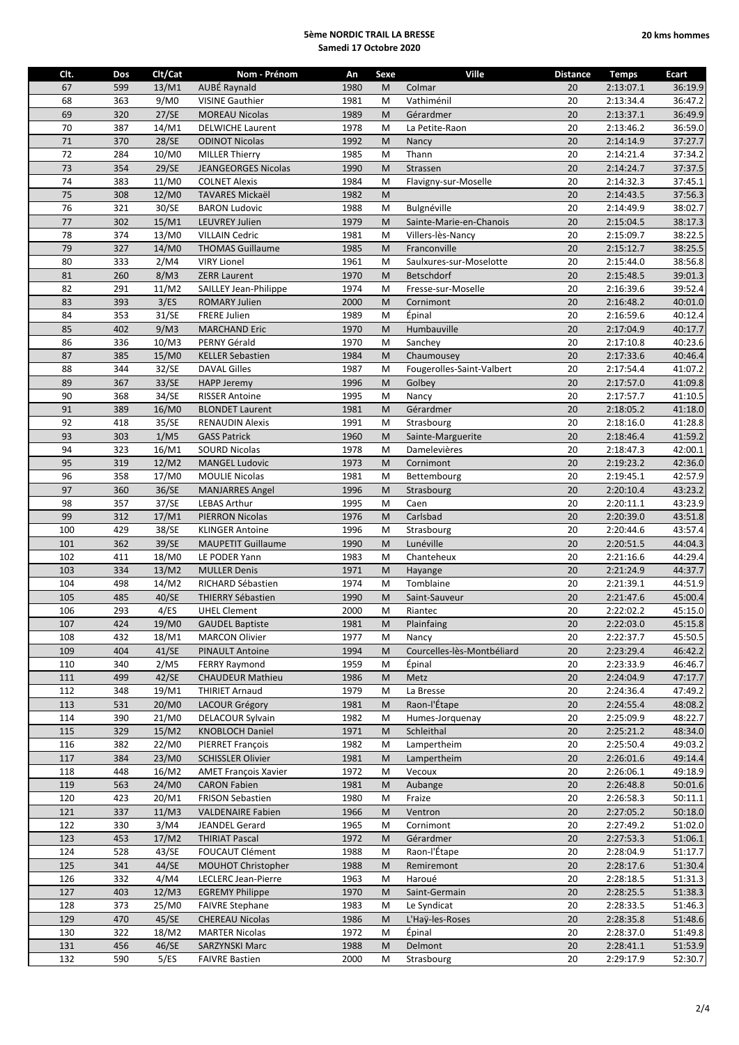| Clt.   | Dos | Clt/Cat | Nom - Prénom                | An   | Sexe    | <b>Ville</b>               | <b>Distance</b> | <b>Temps</b> | Ecart   |
|--------|-----|---------|-----------------------------|------|---------|----------------------------|-----------------|--------------|---------|
| 67     | 599 | 13/M1   | AUBÉ Raynald                | 1980 | M       | Colmar                     | 20              | 2:13:07.1    | 36:19.9 |
| 68     |     | 9/M0    | <b>VISINE Gauthier</b>      | 1981 |         | Vathiménil                 | 20              | 2:13:34.4    | 36:47.2 |
|        | 363 |         |                             |      | M       |                            |                 |              |         |
| 69     | 320 | 27/SE   | <b>MOREAU Nicolas</b>       | 1989 | M       | Gérardmer                  | 20              | 2:13:37.1    | 36:49.9 |
| 70     | 387 | 14/M1   | <b>DELWICHE Laurent</b>     | 1978 | M       | La Petite-Raon             | 20              | 2:13:46.2    | 36:59.0 |
| $71\,$ | 370 | 28/SE   | <b>ODINOT Nicolas</b>       | 1992 | M       | Nancy                      | 20              | 2:14:14.9    | 37:27.7 |
| 72     | 284 | 10/M0   | <b>MILLER Thierry</b>       | 1985 | M       | Thann                      | 20              | 2:14:21.4    | 37:34.2 |
| 73     | 354 | 29/SE   | <b>JEANGEORGES Nicolas</b>  | 1990 | M       | Strassen                   | 20              | 2:14:24.7    | 37:37.5 |
|        |     |         |                             |      |         |                            |                 |              |         |
| 74     | 383 | 11/M0   | <b>COLNET Alexis</b>        | 1984 | M       | Flavigny-sur-Moselle       | 20              | 2:14:32.3    | 37:45.1 |
| 75     | 308 | 12/M0   | <b>TAVARES Mickaël</b>      | 1982 | M       |                            | 20              | 2:14:43.5    | 37:56.3 |
| 76     | 321 | 30/SE   | <b>BARON Ludovic</b>        | 1988 | M       | Bulgnéville                | 20              | 2:14:49.9    | 38:02.7 |
| $77$   | 302 | 15/M1   | <b>LEUVREY Julien</b>       | 1979 | M       | Sainte-Marie-en-Chanois    | 20              | 2:15:04.5    | 38:17.3 |
| 78     | 374 | 13/M0   | <b>VILLAIN Cedric</b>       | 1981 | M       | Villers-lès-Nancy          | 20              | 2:15:09.7    | 38:22.5 |
| 79     | 327 | 14/M0   | <b>THOMAS Guillaume</b>     | 1985 | M       | Franconville               | 20              | 2:15:12.7    | 38:25.5 |
| 80     |     | 2/M4    |                             | 1961 | M       | Saulxures-sur-Moselotte    | 20              |              |         |
|        | 333 |         | <b>VIRY Lionel</b>          |      |         |                            |                 | 2:15:44.0    | 38:56.8 |
| 81     | 260 | 8/M3    | <b>ZERR Laurent</b>         | 1970 | M       | Betschdorf                 | 20              | 2:15:48.5    | 39:01.3 |
| 82     | 291 | 11/M2   | SAILLEY Jean-Philippe       | 1974 | M       | Fresse-sur-Moselle         | 20              | 2:16:39.6    | 39:52.4 |
| 83     | 393 | 3/ES    | <b>ROMARY Julien</b>        | 2000 | M       | Cornimont                  | 20              | 2:16:48.2    | 40:01.0 |
| 84     | 353 | 31/SE   | <b>FRERE Julien</b>         | 1989 | M       | Épinal                     | 20              | 2:16:59.6    | 40:12.4 |
| 85     | 402 | 9/M3    | <b>MARCHAND Eric</b>        | 1970 | M       | Humbauville                | 20              | 2:17:04.9    | 40:17.7 |
| 86     | 336 | 10/M3   | PERNY Gérald                | 1970 | M       | Sanchey                    | 20              | 2:17:10.8    | 40:23.6 |
|        |     |         |                             |      |         |                            |                 |              |         |
| 87     | 385 | 15/M0   | <b>KELLER Sebastien</b>     | 1984 | M       | Chaumousey                 | 20              | 2:17:33.6    | 40:46.4 |
| 88     | 344 | 32/SE   | <b>DAVAL Gilles</b>         | 1987 | M       | Fougerolles-Saint-Valbert  | $20\,$          | 2:17:54.4    | 41:07.2 |
| 89     | 367 | 33/SE   | <b>HAPP Jeremy</b>          | 1996 | M       | Golbey                     | 20              | 2:17:57.0    | 41:09.8 |
| 90     | 368 | 34/SE   | <b>RISSER Antoine</b>       | 1995 | M       | Nancy                      | 20              | 2:17:57.7    | 41:10.5 |
| 91     | 389 | 16/M0   | <b>BLONDET Laurent</b>      | 1981 | M       | Gérardmer                  | 20              | 2:18:05.2    | 41:18.0 |
| 92     | 418 | 35/SE   | <b>RENAUDIN Alexis</b>      | 1991 | M       | Strasbourg                 | 20              | 2:18:16.0    | 41:28.8 |
|        |     |         |                             |      |         |                            |                 |              |         |
| 93     | 303 | 1/M5    | <b>GASS Patrick</b>         | 1960 | M       | Sainte-Marguerite          | 20              | 2:18:46.4    | 41:59.2 |
| 94     | 323 | 16/M1   | <b>SOURD Nicolas</b>        | 1978 | M       | Damelevières               | 20              | 2:18:47.3    | 42:00.1 |
| 95     | 319 | 12/M2   | <b>MANGEL Ludovic</b>       | 1973 | M       | Cornimont                  | 20              | 2:19:23.2    | 42:36.0 |
| 96     | 358 | 17/M0   | <b>MOULIE Nicolas</b>       | 1981 | M       | Bettembourg                | 20              | 2:19:45.1    | 42:57.9 |
| 97     | 360 | 36/SE   | <b>MANJARRES Angel</b>      | 1996 | M       | Strasbourg                 | 20              | 2:20:10.4    | 43:23.2 |
| 98     | 357 | 37/SE   | <b>LEBAS Arthur</b>         | 1995 | M       | Caen                       | 20              | 2:20:11.1    | 43:23.9 |
|        |     |         |                             |      |         |                            |                 |              |         |
| 99     | 312 | 17/M1   | PIERRON Nicolas             | 1976 | M       | Carlsbad                   | 20              | 2:20:39.0    | 43:51.8 |
| 100    | 429 | 38/SE   | <b>KLINGER Antoine</b>      | 1996 | M       | Strasbourg                 | 20              | 2:20:44.6    | 43:57.4 |
| 101    | 362 | 39/SE   | <b>MAUPETIT Guillaume</b>   | 1990 | M       | Lunéville                  | 20              | 2:20:51.5    | 44:04.3 |
| 102    | 411 | 18/M0   | LE PODER Yann               | 1983 | M       | Chanteheux                 | 20              | 2:21:16.6    | 44:29.4 |
| 103    | 334 | 13/M2   | <b>MULLER Denis</b>         | 1971 | M       | Hayange                    | 20              | 2:21:24.9    | 44:37.7 |
| 104    | 498 | 14/M2   | RICHARD Sébastien           | 1974 | M       | Tomblaine                  | 20              | 2:21:39.1    | 44:51.9 |
| 105    | 485 | 40/SE   | <b>THIERRY Sébastien</b>    | 1990 | M       | Saint-Sauveur              | 20              | 2:21:47.6    | 45:00.4 |
| 106    | 293 |         |                             |      |         |                            | 20              | 2:22:02.2    |         |
|        |     | 4/ES    | <b>UHEL Clement</b>         | 2000 | M       | Riantec                    |                 |              | 45:15.0 |
| 107    | 424 | $19/M0$ | <b>GAUDEL Baptiste</b>      | 1981 | $\sf M$ | Plainfaing                 | $20\,$          | 2:22:03.0    | 45:15.8 |
| 108    | 432 | 18/M1   | <b>MARCON Olivier</b>       | 1977 | M       | Nancy                      | 20              | 2:22:37.7    | 45:50.5 |
| 109    | 404 | 41/SE   | <b>PINAULT Antoine</b>      | 1994 | M       | Courcelles-lès-Montbéliard | 20              | 2:23:29.4    | 46:42.2 |
| 110    | 340 | 2/M5    | <b>FERRY Raymond</b>        | 1959 | M       | Épinal                     | 20              | 2:23:33.9    | 46:46.7 |
| 111    | 499 | 42/SE   | <b>CHAUDEUR Mathieu</b>     | 1986 | M       | Metz                       | 20              | 2:24:04.9    | 47:17.7 |
|        |     |         |                             |      |         |                            |                 |              | 47:49.2 |
| 112    | 348 | 19/M1   | <b>THIRIET Arnaud</b>       | 1979 | M       | La Bresse                  | 20              | 2:24:36.4    |         |
| 113    | 531 | 20/M0   | <b>LACOUR Grégory</b>       | 1981 | M       | Raon-l'Étape               | 20              | 2:24:55.4    | 48:08.2 |
| 114    | 390 | 21/M0   | DELACOUR Sylvain            | 1982 | M       | Humes-Jorquenay            | 20              | 2:25:09.9    | 48:22.7 |
| 115    | 329 | 15/M2   | <b>KNOBLOCH Daniel</b>      | 1971 | M       | Schleithal                 | 20              | 2:25:21.2    | 48:34.0 |
| 116    | 382 | 22/M0   | PIERRET François            | 1982 | M       | Lampertheim                | 20              | 2:25:50.4    | 49:03.2 |
| 117    | 384 | 23/M0   | <b>SCHISSLER Olivier</b>    | 1981 | M       | Lampertheim                | 20              | 2:26:01.6    | 49:14.4 |
| 118    | 448 | 16/M2   | <b>AMET François Xavier</b> | 1972 | М       | Vecoux                     | 20              | 2:26:06.1    | 49:18.9 |
|        |     |         |                             |      |         |                            |                 |              |         |
| 119    | 563 | 24/M0   | <b>CARON Fabien</b>         | 1981 | M       | Aubange                    | 20              | 2:26:48.8    | 50:01.6 |
| 120    | 423 | 20/M1   | <b>FRISON Sebastien</b>     | 1980 | M       | Fraize                     | 20              | 2:26:58.3    | 50:11.1 |
| 121    | 337 | 11/M3   | <b>VALDENAIRE Fabien</b>    | 1966 | M       | Ventron                    | 20              | 2:27:05.2    | 50:18.0 |
| 122    | 330 | 3/M4    | JEANDEL Gerard              | 1965 | M       | Cornimont                  | 20              | 2:27:49.2    | 51:02.0 |
| 123    | 453 | 17/M2   | <b>THIRIAT Pascal</b>       | 1972 | M       | Gérardmer                  | 20              | 2:27:53.3    | 51:06.1 |
| 124    | 528 | 43/SE   | <b>FOUCAUT Clément</b>      | 1988 | M       | Raon-l'Étape               | 20              | 2:28:04.9    | 51:17.7 |
| 125    | 341 | 44/SE   | MOUHOT Christopher          | 1988 | M       | Remiremont                 | 20              | 2:28:17.6    |         |
|        |     |         |                             |      |         |                            |                 |              | 51:30.4 |
| 126    | 332 | 4/M4    | LECLERC Jean-Pierre         | 1963 | M       | Haroué                     | 20              | 2:28:18.5    | 51:31.3 |
| 127    | 403 | 12/M3   | <b>EGREMY Philippe</b>      | 1970 | M       | Saint-Germain              | 20              | 2:28:25.5    | 51:38.3 |
| 128    | 373 | 25/M0   | <b>FAIVRE Stephane</b>      | 1983 | M       | Le Syndicat                | 20              | 2:28:33.5    | 51:46.3 |
| 129    | 470 | 45/SE   | <b>CHEREAU Nicolas</b>      | 1986 | M       | L'Haÿ-les-Roses            | 20              | 2:28:35.8    | 51:48.6 |
| 130    | 322 | 18/M2   | <b>MARTER Nicolas</b>       | 1972 | M       | Épinal                     | 20              | 2:28:37.0    | 51:49.8 |
| 131    | 456 | 46/SE   | <b>SARZYNSKI Marc</b>       | 1988 | M       | Delmont                    | 20              | 2:28:41.1    | 51:53.9 |
| 132    | 590 | 5/ES    | <b>FAIVRE Bastien</b>       | 2000 | М       | Strasbourg                 | 20              | 2:29:17.9    | 52:30.7 |
|        |     |         |                             |      |         |                            |                 |              |         |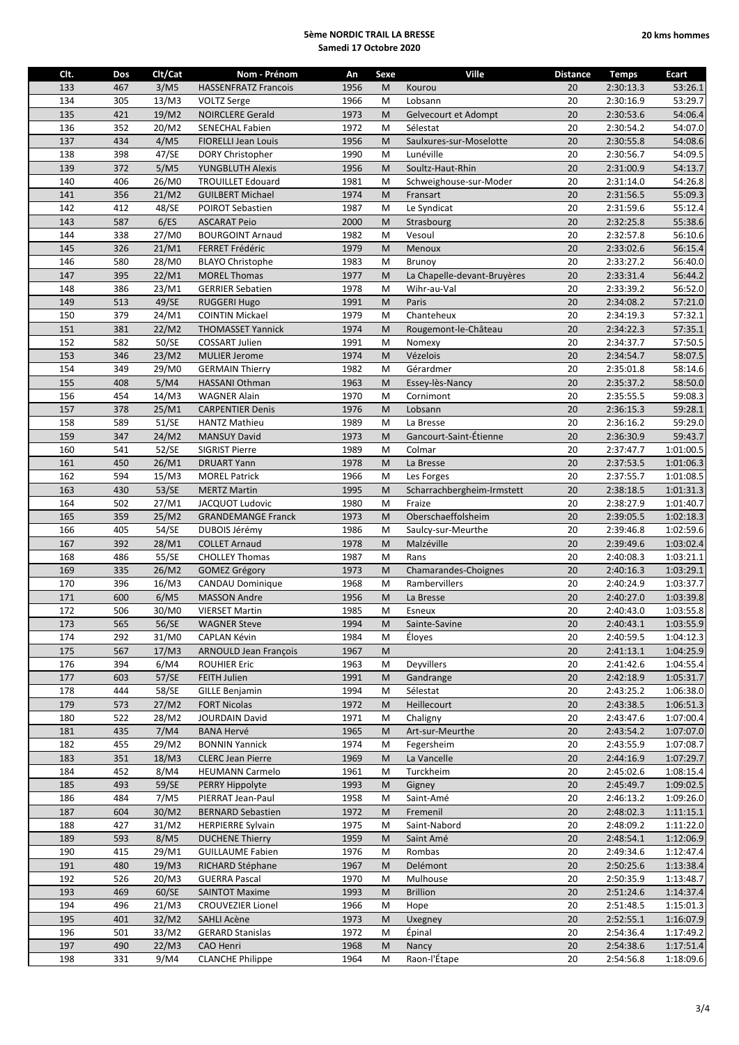| Clt. | Dos | Clt/Cat | Nom - Prénom                | An   | Sexe      | Ville                       | <b>Distance</b> | <b>Temps</b> | Ecart     |
|------|-----|---------|-----------------------------|------|-----------|-----------------------------|-----------------|--------------|-----------|
| 133  | 467 | 3/M5    | <b>HASSENFRATZ Francois</b> | 1956 | M         | Kourou                      | 20              | 2:30:13.3    | 53:26.1   |
|      |     |         |                             |      |           |                             |                 |              |           |
| 134  | 305 | 13/M3   | <b>VOLTZ Serge</b>          | 1966 | M         | Lobsann                     | 20              | 2:30:16.9    | 53:29.7   |
| 135  | 421 | 19/M2   | <b>NOIRCLERE Gerald</b>     | 1973 | M         | Gelvecourt et Adompt        | 20              | 2:30:53.6    | 54:06.4   |
| 136  | 352 | 20/M2   | <b>SENECHAL Fabien</b>      | 1972 | M         | Sélestat                    | 20              | 2:30:54.2    | 54:07.0   |
| 137  | 434 | 4/M5    | <b>FIORELLI Jean Louis</b>  | 1956 | M         | Saulxures-sur-Moselotte     | 20              | 2:30:55.8    | 54:08.6   |
| 138  | 398 | 47/SE   | DORY Christopher            | 1990 | M         | Lunéville                   | 20              | 2:30:56.7    | 54:09.5   |
|      |     |         |                             |      |           |                             |                 |              |           |
| 139  | 372 | 5/M5    | <b>YUNGBLUTH Alexis</b>     | 1956 | M         | Soultz-Haut-Rhin            | 20              | 2:31:00.9    | 54:13.7   |
| 140  | 406 | 26/M0   | <b>TROUILLET Edouard</b>    | 1981 | M         | Schweighouse-sur-Moder      | 20              | 2:31:14.0    | 54:26.8   |
| 141  | 356 | 21/M2   | <b>GUILBERT Michael</b>     | 1974 | M         | Fransart                    | 20              | 2:31:56.5    | 55:09.3   |
| 142  | 412 | 48/SE   | POIROT Sebastien            | 1987 | M         | Le Syndicat                 | 20              | 2:31:59.6    | 55:12.4   |
| 143  | 587 | 6/ES    | <b>ASCARAT Peio</b>         | 2000 | M         | Strasbourg                  | 20              | 2:32:25.8    | 55:38.6   |
|      |     |         |                             |      |           |                             |                 |              |           |
| 144  | 338 | 27/M0   | <b>BOURGOINT Arnaud</b>     | 1982 | M         | Vesoul                      | 20              | 2:32:57.8    | 56:10.6   |
| 145  | 326 | 21/M1   | FERRET Frédéric             | 1979 | M         | Menoux                      | 20              | 2:33:02.6    | 56:15.4   |
| 146  | 580 | 28/M0   | <b>BLAYO Christophe</b>     | 1983 | M         | Brunoy                      | 20              | 2:33:27.2    | 56:40.0   |
| 147  | 395 | 22/M1   | <b>MOREL Thomas</b>         | 1977 | M         | La Chapelle-devant-Bruyères | 20              | 2:33:31.4    | 56:44.2   |
| 148  | 386 | 23/M1   | <b>GERRIER Sebatien</b>     | 1978 | M         | Wihr-au-Val                 | 20              | 2:33:39.2    | 56:52.0   |
|      |     |         |                             |      |           |                             |                 |              |           |
| 149  | 513 | 49/SE   | <b>RUGGERI Hugo</b>         | 1991 | M         | Paris                       | 20              | 2:34:08.2    | 57:21.0   |
| 150  | 379 | 24/M1   | <b>COINTIN Mickael</b>      | 1979 | M         | Chanteheux                  | 20              | 2:34:19.3    | 57:32.1   |
| 151  | 381 | 22/M2   | <b>THOMASSET Yannick</b>    | 1974 | M         | Rougemont-le-Château        | 20              | 2:34:22.3    | 57:35.1   |
| 152  | 582 | 50/SE   | COSSART Julien              | 1991 | M         | Nomexy                      | 20              | 2:34:37.7    | 57:50.5   |
| 153  | 346 | 23/M2   | <b>MULIER Jerome</b>        | 1974 | M         | Vézelois                    | 20              | 2:34:54.7    | 58:07.5   |
|      |     |         |                             |      |           |                             |                 |              |           |
| 154  | 349 | 29/M0   | <b>GERMAIN Thierry</b>      | 1982 | M         | Gérardmer                   | 20              | 2:35:01.8    | 58:14.6   |
| 155  | 408 | 5/M4    | <b>HASSANI Othman</b>       | 1963 | M         | Essey-lès-Nancy             | 20              | 2:35:37.2    | 58:50.0   |
| 156  | 454 | 14/M3   | <b>WAGNER Alain</b>         | 1970 | M         | Cornimont                   | 20              | 2:35:55.5    | 59:08.3   |
| 157  | 378 | 25/M1   | <b>CARPENTIER Denis</b>     | 1976 | M         | Lobsann                     | 20              | 2:36:15.3    | 59:28.1   |
|      |     |         |                             |      |           |                             |                 |              |           |
| 158  | 589 | 51/SE   | <b>HANTZ Mathieu</b>        | 1989 | M         | La Bresse                   | 20              | 2:36:16.2    | 59:29.0   |
| 159  | 347 | 24/M2   | <b>MANSUY David</b>         | 1973 | M         | Gancourt-Saint-Étienne      | 20              | 2:36:30.9    | 59:43.7   |
| 160  | 541 | 52/SE   | <b>SIGRIST Pierre</b>       | 1989 | M         | Colmar                      | 20              | 2:37:47.7    | 1:01:00.5 |
| 161  | 450 | 26/M1   | <b>DRUART Yann</b>          | 1978 | M         | La Bresse                   | 20              | 2:37:53.5    | 1:01:06.3 |
| 162  | 594 | 15/M3   | <b>MOREL Patrick</b>        | 1966 | M         | Les Forges                  | 20              | 2:37:55.7    | 1:01:08.5 |
|      |     |         |                             |      |           |                             |                 |              |           |
| 163  | 430 | 53/SE   | <b>MERTZ Martin</b>         | 1995 | M         | Scharrachbergheim-Irmstett  | 20              | 2:38:18.5    | 1:01:31.3 |
| 164  | 502 | 27/M1   | JACQUOT Ludovic             | 1980 | M         | Fraize                      | 20              | 2:38:27.9    | 1:01:40.7 |
| 165  | 359 | 25/M2   | <b>GRANDEMANGE Franck</b>   | 1973 | M         | Oberschaeffolsheim          | 20              | 2:39:05.5    | 1:02:18.3 |
| 166  | 405 | 54/SE   | DUBOIS Jérémy               | 1986 | M         | Saulcy-sur-Meurthe          | 20              | 2:39:46.8    | 1:02:59.6 |
| 167  | 392 | 28/M1   | <b>COLLET Arnaud</b>        | 1978 | M         | Malzéville                  | 20              | 2:39:49.6    | 1:03:02.4 |
|      |     |         |                             |      |           |                             |                 |              |           |
| 168  | 486 | 55/SE   | <b>CHOLLEY Thomas</b>       | 1987 | M         | Rans                        | 20              | 2:40:08.3    | 1:03:21.1 |
| 169  | 335 | 26/M2   | <b>GOMEZ Grégory</b>        | 1973 | M         | Chamarandes-Choignes        | 20              | 2:40:16.3    | 1:03:29.1 |
| 170  | 396 | 16/M3   | <b>CANDAU Dominique</b>     | 1968 | M         | Rambervillers               | 20              | 2:40:24.9    | 1:03:37.7 |
| 171  | 600 | 6/M5    | <b>MASSON Andre</b>         | 1956 | M         | La Bresse                   | 20              | 2:40:27.0    | 1:03:39.8 |
| 172  | 506 | 30/M0   | <b>VIERSET Martin</b>       | 1985 | M         | Esneux                      | 20              | 2:40:43.0    | 1:03:55.8 |
|      |     |         |                             |      |           |                             | $20\,$          |              |           |
| 173  | 565 | $56/SE$ | <b>WAGNER Steve</b>         | 1994 | ${\sf M}$ | Sainte-Savine               |                 | 2:40:43.1    | 1:03:55.9 |
| 174  | 292 | 31/M0   | <b>CAPLAN Kévin</b>         | 1984 | М         | Eloyes                      | 20              | 2:40:59.5    | 1:04:12.3 |
| 175  | 567 | 17/M3   | ARNOULD Jean François       | 1967 | M         |                             | 20              | 2:41:13.1    | 1:04:25.9 |
| 176  | 394 | 6/M4    | <b>ROUHIER Eric</b>         | 1963 | M         | Deyvillers                  | 20              | 2:41:42.6    | 1:04:55.4 |
| 177  | 603 | 57/SE   | FEITH Julien                | 1991 | M         | Gandrange                   | 20              | 2:42:18.9    | 1:05:31.7 |
|      |     |         |                             |      |           |                             |                 |              |           |
| 178  | 444 | 58/SE   | <b>GILLE Benjamin</b>       | 1994 | M         | Sélestat                    | 20              | 2:43:25.2    | 1:06:38.0 |
| 179  | 573 | 27/M2   | <b>FORT Nicolas</b>         | 1972 | M         | Heillecourt                 | 20              | 2:43:38.5    | 1:06:51.3 |
| 180  | 522 | 28/M2   | JOURDAIN David              | 1971 | M         | Chaligny                    | 20              | 2:43:47.6    | 1:07:00.4 |
| 181  | 435 | 7/M4    | <b>BANA Hervé</b>           | 1965 | M         | Art-sur-Meurthe             | 20              | 2:43:54.2    | 1:07:07.0 |
| 182  | 455 | 29/M2   | <b>BONNIN Yannick</b>       | 1974 | M         | Fegersheim                  | 20              | 2:43:55.9    | 1:07:08.7 |
| 183  | 351 | 18/M3   | <b>CLERC Jean Pierre</b>    | 1969 | M         | La Vancelle                 | 20              | 2:44:16.9    | 1:07:29.7 |
|      |     |         |                             |      |           |                             |                 |              |           |
| 184  | 452 | 8/M4    | <b>HEUMANN Carmelo</b>      | 1961 | M         | Turckheim                   | 20              | 2:45:02.6    | 1:08:15.4 |
| 185  | 493 | 59/SE   | PERRY Hippolyte             | 1993 | M         | Gigney                      | 20              | 2:45:49.7    | 1:09:02.5 |
| 186  | 484 | 7/M5    | PIERRAT Jean-Paul           | 1958 | M         | Saint-Amé                   | 20              | 2:46:13.2    | 1:09:26.0 |
| 187  | 604 | 30/M2   | <b>BERNARD Sebastien</b>    | 1972 | M         | Fremenil                    | 20              | 2:48:02.3    | 1:11:15.1 |
|      |     |         |                             |      |           |                             |                 |              |           |
| 188  | 427 | 31/M2   | <b>HERPIERRE Sylvain</b>    | 1975 | M         | Saint-Nabord                | 20              | 2:48:09.2    | 1:11:22.0 |
| 189  | 593 | 8/M5    | <b>DUCHENE Thierry</b>      | 1959 | M         | Saint Amé                   | 20              | 2:48:54.1    | 1:12:06.9 |
| 190  | 415 | 29/M1   | <b>GUILLAUME Fabien</b>     | 1976 | M         | Rombas                      | 20              | 2:49:34.6    | 1:12:47.4 |
| 191  | 480 | 19/M3   | RICHARD Stéphane            | 1967 | M         | Delémont                    | 20              | 2:50:25.6    | 1:13:38.4 |
| 192  | 526 | 20/M3   | <b>GUERRA Pascal</b>        | 1970 | M         | Mulhouse                    | 20              | 2:50:35.9    | 1:13:48.7 |
|      |     |         |                             |      |           |                             |                 |              |           |
| 193  | 469 | 60/SE   | <b>SAINTOT Maxime</b>       | 1993 | M         | <b>Brillion</b>             | 20              | 2:51:24.6    | 1:14:37.4 |
| 194  | 496 | 21/M3   | <b>CROUVEZIER Lionel</b>    | 1966 | M         | Hope                        | 20              | 2:51:48.5    | 1:15:01.3 |
| 195  | 401 | 32/M2   | SAHLI Acène                 | 1973 | M         | Uxegney                     | 20              | 2:52:55.1    | 1:16:07.9 |
| 196  | 501 | 33/M2   | <b>GERARD Stanislas</b>     | 1972 | M         | Épinal                      | 20              | 2:54:36.4    | 1:17:49.2 |
| 197  | 490 | 22/M3   | CAO Henri                   | 1968 | M         | Nancy                       | 20              | 2:54:38.6    | 1:17:51.4 |
|      |     |         |                             |      |           |                             |                 |              |           |
| 198  | 331 | 9/M4    | <b>CLANCHE Philippe</b>     | 1964 | M         | Raon-l'Étape                | 20              | 2:54:56.8    | 1:18:09.6 |